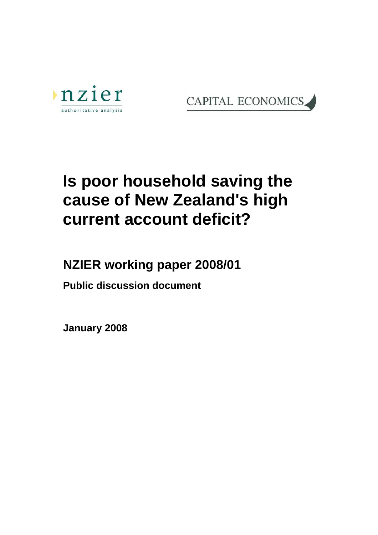



# **Is poor household saving the cause of New Zealand's high current account deficit?**

**NZIER working paper 2008/01** 

**Public discussion document** 

**January 2008**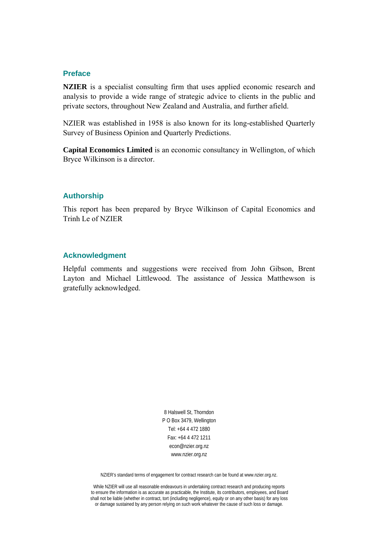#### **Preface**

**NZIER** is a specialist consulting firm that uses applied economic research and analysis to provide a wide range of strategic advice to clients in the public and private sectors, throughout New Zealand and Australia, and further afield.

NZIER was established in 1958 is also known for its long-established Quarterly Survey of Business Opinion and Quarterly Predictions.

**Capital Economics Limited** is an economic consultancy in Wellington, of which Bryce Wilkinson is a director.

#### **Authorship**

This report has been prepared by Bryce Wilkinson of Capital Economics and Trinh Le of NZIER

#### **Acknowledgment**

Helpful comments and suggestions were received from John Gibson, Brent Layton and Michael Littlewood. The assistance of Jessica Matthewson is gratefully acknowledged.

> 8 Halswell St, Thorndon P O Box 3479, Wellington Tel: +64 4 472 1880 Fax: +64 4 472 1211 econ@nzier.org.nz www.nzier.org.nz

NZIER's standard terms of engagement for contract research can be found at www.nzier.org.nz.

While NZIER will use all reasonable endeavours in undertaking contract research and producing reports to ensure the information is as accurate as practicable, the Institute, its contributors, employees, and Board shall not be liable (whether in contract, tort (including negligence), equity or on any other basis) for any loss or damage sustained by any person relying on such work whatever the cause of such loss or damage.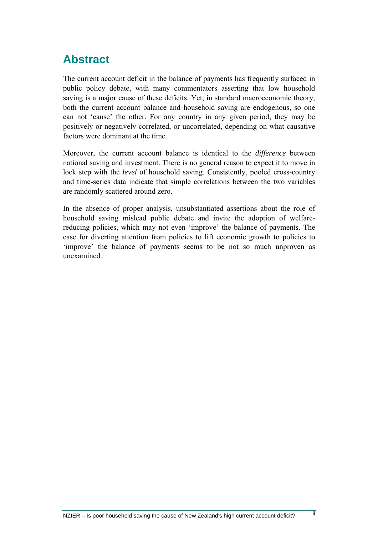## <span id="page-2-0"></span>**Abstract**

The current account deficit in the balance of payments has frequently surfaced in public policy debate, with many commentators asserting that low household saving is a major cause of these deficits. Yet, in standard macroeconomic theory, both the current account balance and household saving are endogenous, so one can not 'cause' the other. For any country in any given period, they may be positively or negatively correlated, or uncorrelated, depending on what causative factors were dominant at the time.

Moreover, the current account balance is identical to the *difference* between national saving and investment. There is no general reason to expect it to move in lock step with the *level* of household saving. Consistently, pooled cross-country and time-series data indicate that simple correlations between the two variables are randomly scattered around zero.

In the absence of proper analysis, unsubstantiated assertions about the role of household saving mislead public debate and invite the adoption of welfarereducing policies, which may not even 'improve' the balance of payments. The case for diverting attention from policies to lift economic growth to policies to 'improve' the balance of payments seems to be not so much unproven as unexamined.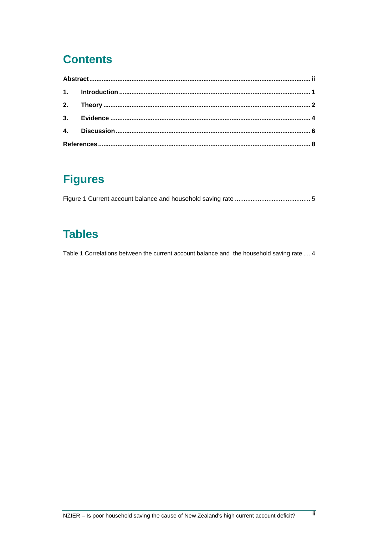# **Contents**

# **Figures**

|--|--|--|

# **Tables**

Table 1 Correlations between the current account balance and the household saving rate .... 4

ΪÏ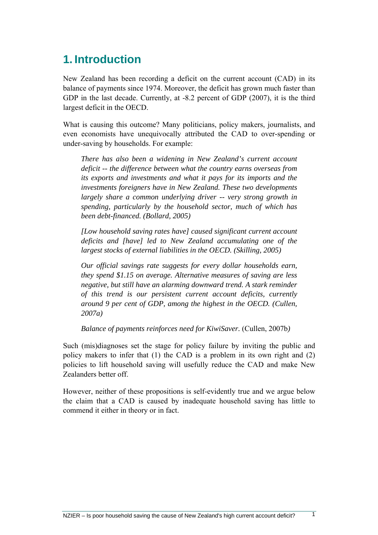# <span id="page-4-0"></span>**1. Introduction**

New Zealand has been recording a deficit on the current account (CAD) in its balance of payments since 1974. Moreover, the deficit has grown much faster than GDP in the last decade. Currently, at -8.2 percent of GDP (2007), it is the third largest deficit in the OECD.

What is causing this outcome? Many politicians, policy makers, journalists, and even economists have unequivocally attributed the CAD to over-spending or under-saving by households. For example:

*There has also been a widening in New Zealand's current account deficit -- the difference between what the country earns overseas from its exports and investments and what it pays for its imports and the investments foreigners have in New Zealand. These two developments largely share a common underlying driver -- very strong growth in spending, particularly by the household sector, much of which has been debt-financed. (Bollard, 2005)*

*[Low household saving rates have] caused significant current account deficits and [have] led to New Zealand accumulating one of the largest stocks of external liabilities in the OECD. (Skilling, 2005)*

*Our official savings rate suggests for every dollar households earn, they spend \$1.15 on average. Alternative measures of saving are less negative, but still have an alarming downward trend. A stark reminder of this trend is our persistent current account deficits, currently around 9 per cent of GDP, among the highest in the OECD. (Cullen, 2007a)*

*Balance of payments reinforces need for KiwiSaver.* (Cullen, 2007b*)* 

Such (mis)diagnoses set the stage for policy failure by inviting the public and policy makers to infer that (1) the CAD is a problem in its own right and (2) policies to lift household saving will usefully reduce the CAD and make New Zealanders better off.

However, neither of these propositions is self-evidently true and we argue below the claim that a CAD is caused by inadequate household saving has little to commend it either in theory or in fact.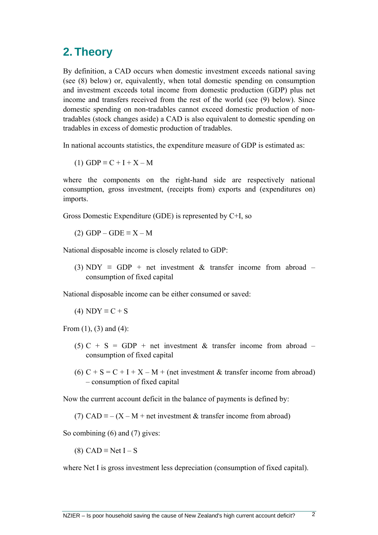#### <span id="page-5-0"></span>**2. Theory**

By definition, a CAD occurs when domestic investment exceeds national saving (see (8) below) or, equivalently, when total domestic spending on consumption and investment exceeds total income from domestic production (GDP) plus net income and transfers received from the rest of the world (see (9) below). Since domestic spending on non-tradables cannot exceed domestic production of nontradables (stock changes aside) a CAD is also equivalent to domestic spending on tradables in excess of domestic production of tradables.

In national accounts statistics, the expenditure measure of GDP is estimated as:

(1) GDP  $\equiv$  C + I + X – M

where the components on the right-hand side are respectively national consumption, gross investment, (receipts from) exports and (expenditures on) imports.

Gross Domestic Expenditure (GDE) is represented by C+I, so

(2)  $GDP - GDE \equiv X - M$ 

National disposable income is closely related to GDP:

(3) NDY  $\equiv$  GDP + net investment & transfer income from abroad – consumption of fixed capital

National disposable income can be either consumed or saved:

(4) NDY  $\equiv$  C + S

From (1), (3) and (4):

- (5) C + S = GDP + net investment & transfer income from abroad consumption of fixed capital
- (6)  $C + S = C + I + X M +$  (net investment & transfer income from abroad) – consumption of fixed capital

Now the currrent account deficit in the balance of payments is defined by:

(7) CAD  $\equiv$  – (X – M + net investment & transfer income from abroad)

So combining (6) and (7) gives:

(8) CAD  $\equiv$  Net I – S

where Net I is gross investment less depreciation (consumption of fixed capital).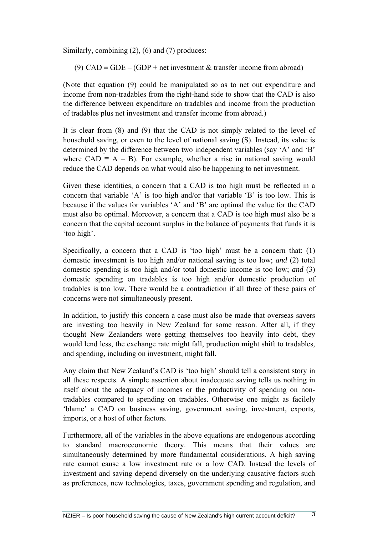Similarly, combining (2), (6) and (7) produces:

(9) CAD  $\equiv$  GDE – (GDP + net investment & transfer income from abroad)

(Note that equation (9) could be manipulated so as to net out expenditure and income from non-tradables from the right-hand side to show that the CAD is also the difference between expenditure on tradables and income from the production of tradables plus net investment and transfer income from abroad.)

It is clear from (8) and (9) that the CAD is not simply related to the level of household saving, or even to the level of national saving (S). Instead, its value is determined by the difference between two independent variables (say 'A' and 'B' where  $CAD \equiv A - B$ ). For example, whether a rise in national saving would reduce the CAD depends on what would also be happening to net investment.

Given these identities, a concern that a CAD is too high must be reflected in a concern that variable  $A'$  is too high and/or that variable  $B'$  is too low. This is because if the values for variables 'A' and 'B' are optimal the value for the CAD must also be optimal. Moreover, a concern that a CAD is too high must also be a concern that the capital account surplus in the balance of payments that funds it is 'too high'.

Specifically, a concern that a CAD is 'too high' must be a concern that: (1) domestic investment is too high and/or national saving is too low; *and* (2) total domestic spending is too high and/or total domestic income is too low; *and* (3) domestic spending on tradables is too high and/or domestic production of tradables is too low. There would be a contradiction if all three of these pairs of concerns were not simultaneously present.

In addition, to justify this concern a case must also be made that overseas savers are investing too heavily in New Zealand for some reason. After all, if they thought New Zealanders were getting themselves too heavily into debt, they would lend less, the exchange rate might fall, production might shift to tradables, and spending, including on investment, might fall.

Any claim that New Zealand's CAD is 'too high' should tell a consistent story in all these respects. A simple assertion about inadequate saving tells us nothing in itself about the adequacy of incomes or the productivity of spending on nontradables compared to spending on tradables. Otherwise one might as facilely 'blame' a CAD on business saving, government saving, investment, exports, imports, or a host of other factors.

Furthermore, all of the variables in the above equations are endogenous according to standard macroeconomic theory. This means that their values are simultaneously determined by more fundamental considerations. A high saving rate cannot cause a low investment rate or a low CAD. Instead the levels of investment and saving depend diversely on the underlying causative factors such as preferences, new technologies, taxes, government spending and regulation, and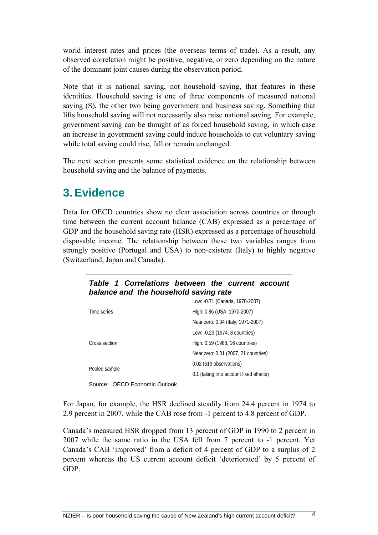<span id="page-7-0"></span>world interest rates and prices (the overseas terms of trade). As a result, any observed correlation might be positive, negative, or zero depending on the nature of the dominant joint causes during the observation period.

Note that it is national saving, not household saving, that features in these identities. Household saving is one of three components of measured national saving (S), the other two being government and business saving. Something that lifts household saving will not necessarily also raise national saving. For example, government saving can be thought of as forced household saving, in which case an increase in government saving could induce households to cut voluntary saving while total saving could rise, fall or remain unchanged.

The next section presents some statistical evidence on the relationship between household saving and the balance of payments.

### **3. Evidence**

Data for OECD countries show no clear association across countries or through time between the current account balance (CAB) expressed as a percentage of GDP and the household saving rate (HSR) expressed as a percentage of household disposable income. The relationship between these two variables ranges from strongly positive (Portugal and USA) to non-existent (Italy) to highly negative (Switzerland, Japan and Canada).

| Table 1 Correlations between the current account<br>balance and the household saving rate |                                         |  |  |  |
|-------------------------------------------------------------------------------------------|-----------------------------------------|--|--|--|
| Time series                                                                               | Low: -0.71 (Canada, 1970-2007)          |  |  |  |
|                                                                                           | High: 0.86 (USA, 1970-2007)             |  |  |  |
|                                                                                           | Near zero: 0.04 (Italy, 1971-2007)      |  |  |  |
|                                                                                           | Low: -0.23 (1974, 8 countries)          |  |  |  |
| Cross section                                                                             | High: 0.59 (1988, 16 countries)         |  |  |  |
|                                                                                           | Near zero: 0.01 (2007, 21 countries)    |  |  |  |
|                                                                                           | 0.02 (619 observations)                 |  |  |  |
| Pooled sample                                                                             | 0.1 (taking into account fixed effects) |  |  |  |
| Source: OECD Economic Outlook                                                             |                                         |  |  |  |

For Japan, for example, the HSR declined steadily from 24.4 percent in 1974 to 2.9 percent in 2007, while the CAB rose from -1 percent to 4.8 percent of GDP.

Canada's measured HSR dropped from 13 percent of GDP in 1990 to 2 percent in 2007 while the same ratio in the USA fell from 7 percent to -1 percent. Yet Canada's CAB 'improved' from a deficit of 4 percent of GDP to a surplus of 2 percent whereas the US current account deficit 'deteriorated' by 5 percent of GDP.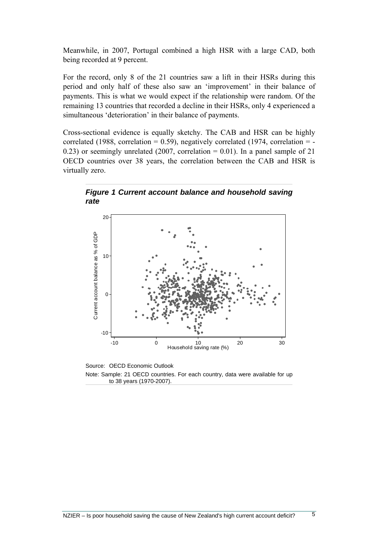<span id="page-8-0"></span>Meanwhile, in 2007, Portugal combined a high HSR with a large CAD, both being recorded at 9 percent.

For the record, only 8 of the 21 countries saw a lift in their HSRs during this period and only half of these also saw an 'improvement' in their balance of payments. This is what we would expect if the relationship were random. Of the remaining 13 countries that recorded a decline in their HSRs, only 4 experienced a simultaneous 'deterioration' in their balance of payments.

Cross-sectional evidence is equally sketchy. The CAB and HSR can be highly correlated (1988, correlation =  $0.59$ ), negatively correlated (1974, correlation =  $-$ 0.23) or seemingly unrelated (2007, correlation  $= 0.01$ ). In a panel sample of 21 OECD countries over 38 years, the correlation between the CAB and HSR is virtually zero.





Source: OECD Economic Outlook Note: Sample: 21 OECD countries. For each country, data were available for up to 38 years (1970-2007).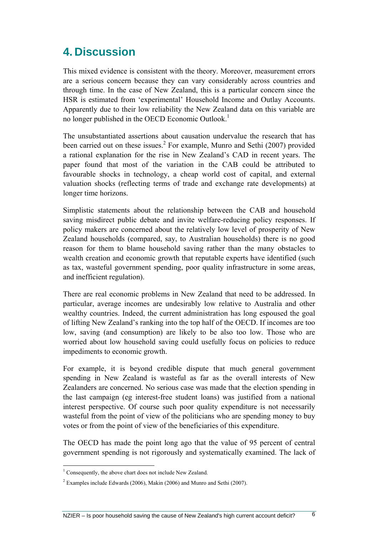### <span id="page-9-0"></span>**4. Discussion**

This mixed evidence is consistent with the theory. Moreover, measurement errors are a serious concern because they can vary considerably across countries and through time. In the case of New Zealand, this is a particular concern since the HSR is estimated from 'experimental' Household Income and Outlay Accounts. Apparently due to their low reliability the New Zealand data on this variable are no longer published in the OECD Economic Outlook.<sup>1</sup>

The unsubstantiated assertions about causation undervalue the research that has been carried out on these issues.<sup>2</sup> For example, Munro and Sethi (2007) provided a rational explanation for the rise in New Zealand's CAD in recent years. The paper found that most of the variation in the CAB could be attributed to favourable shocks in technology, a cheap world cost of capital, and external valuation shocks (reflecting terms of trade and exchange rate developments) at longer time horizons.

Simplistic statements about the relationship between the CAB and household saving misdirect public debate and invite welfare-reducing policy responses. If policy makers are concerned about the relatively low level of prosperity of New Zealand households (compared, say, to Australian households) there is no good reason for them to blame household saving rather than the many obstacles to wealth creation and economic growth that reputable experts have identified (such as tax, wasteful government spending, poor quality infrastructure in some areas, and inefficient regulation).

There are real economic problems in New Zealand that need to be addressed. In particular, average incomes are undesirably low relative to Australia and other wealthy countries. Indeed, the current administration has long espoused the goal of lifting New Zealand's ranking into the top half of the OECD. If incomes are too low, saving (and consumption) are likely to be also too low. Those who are worried about low household saving could usefully focus on policies to reduce impediments to economic growth.

For example, it is beyond credible dispute that much general government spending in New Zealand is wasteful as far as the overall interests of New Zealanders are concerned. No serious case was made that the election spending in the last campaign (eg interest-free student loans) was justified from a national interest perspective. Of course such poor quality expenditure is not necessarily wasteful from the point of view of the politicians who are spending money to buy votes or from the point of view of the beneficiaries of this expenditure.

The OECD has made the point long ago that the value of 95 percent of central government spending is not rigorously and systematically examined. The lack of

<span id="page-9-1"></span><sup>&</sup>lt;sup>1</sup> Consequently, the above chart does not include New Zealand.

<span id="page-9-2"></span> $2$  Examples include Edwards (2006), Makin (2006) and Munro and Sethi (2007).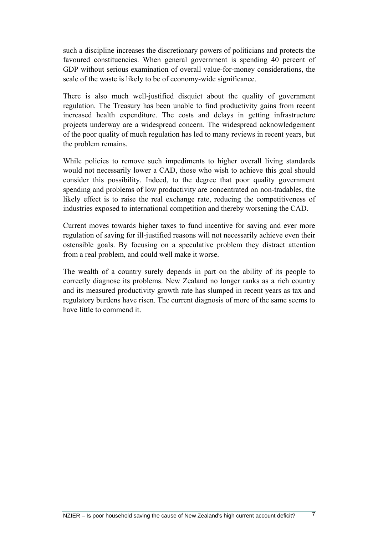such a discipline increases the discretionary powers of politicians and protects the favoured constituencies. When general government is spending 40 percent of GDP without serious examination of overall value-for-money considerations, the scale of the waste is likely to be of economy-wide significance.

There is also much well-justified disquiet about the quality of government regulation. The Treasury has been unable to find productivity gains from recent increased health expenditure. The costs and delays in getting infrastructure projects underway are a widespread concern. The widespread acknowledgement of the poor quality of much regulation has led to many reviews in recent years, but the problem remains.

While policies to remove such impediments to higher overall living standards would not necessarily lower a CAD, those who wish to achieve this goal should consider this possibility. Indeed, to the degree that poor quality government spending and problems of low productivity are concentrated on non-tradables, the likely effect is to raise the real exchange rate, reducing the competitiveness of industries exposed to international competition and thereby worsening the CAD.

Current moves towards higher taxes to fund incentive for saving and ever more regulation of saving for ill-justified reasons will not necessarily achieve even their ostensible goals. By focusing on a speculative problem they distract attention from a real problem, and could well make it worse.

The wealth of a country surely depends in part on the ability of its people to correctly diagnose its problems. New Zealand no longer ranks as a rich country and its measured productivity growth rate has slumped in recent years as tax and regulatory burdens have risen. The current diagnosis of more of the same seems to have little to commend it.